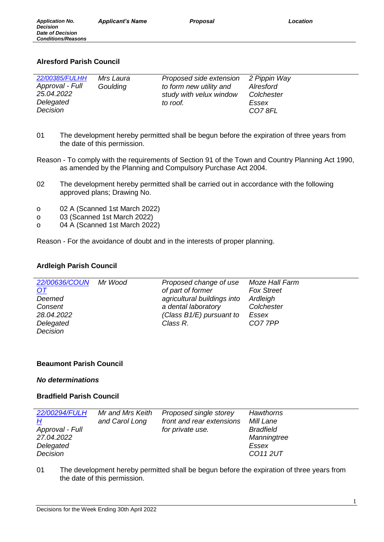# **Alresford Parish Council**

| 22/00385/FULHH<br>Approval - Full<br>25.04.2022<br>Delegated | Mrs Laura<br>Goulding | Proposed side extension<br>to form new utility and<br>study with velux window<br>to roof. | 2 Pippin Way<br>Alresford<br>Colchester<br>Essex |
|--------------------------------------------------------------|-----------------------|-------------------------------------------------------------------------------------------|--------------------------------------------------|
| Decision                                                     |                       |                                                                                           | CO78FL                                           |

- 01 The development hereby permitted shall be begun before the expiration of three years from the date of this permission.
- Reason To comply with the requirements of Section 91 of the Town and Country Planning Act 1990, as amended by the Planning and Compulsory Purchase Act 2004.
- 02 The development hereby permitted shall be carried out in accordance with the following approved plans; Drawing No.
- o 02 A (Scanned 1st March 2022)
- o 03 (Scanned 1st March 2022)
- o 04 A (Scanned 1st March 2022)

Reason - For the avoidance of doubt and in the interests of proper planning.

#### **Ardleigh Parish Council**

| 22/00636/COUN | Mr Wood | Proposed change of use      | Moze Hall Farm    |
|---------------|---------|-----------------------------|-------------------|
| <u>OT</u>     |         | of part of former           | <b>Fox Street</b> |
| Deemed        |         | agricultural buildings into | Ardleigh          |
| Consent       |         | a dental laboratory         | Colchester        |
| 28.04.2022    |         | (Class $B1/E$ ) pursuant to | Essex             |
| Delegated     |         | Class R.                    | CO7 7PP           |
| Decision      |         |                             |                   |

## **Beaumont Parish Council**

#### *No determinations*

#### **Bradfield Parish Council**

| 22/00294/FULH   | Mr and Mrs Keith | Proposed single storey    | <b>Hawthorns</b> |
|-----------------|------------------|---------------------------|------------------|
| <u>Н</u>        | and Carol Long   | front and rear extensions | Mill Lane        |
| Approval - Full |                  | for private use.          | <b>Bradfield</b> |
| 27.04.2022      |                  |                           | Manningtree      |
| Delegated       |                  |                           | Essex            |
| Decision        |                  |                           | CO112UT          |

01 The development hereby permitted shall be begun before the expiration of three years from the date of this permission.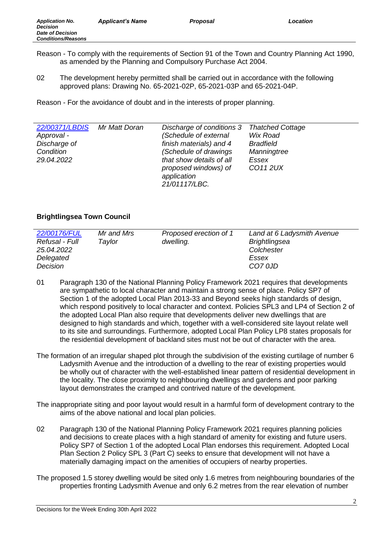- Reason To comply with the requirements of Section 91 of the Town and Country Planning Act 1990, as amended by the Planning and Compulsory Purchase Act 2004.
- 02 The development hereby permitted shall be carried out in accordance with the following approved plans: Drawing No. 65-2021-02P, 65-2021-03P and 65-2021-04P.

| 22/00371/LBDIS | Mr Matt Doran | Discharge of conditions 3 | <b>Thatched Cottage</b> |
|----------------|---------------|---------------------------|-------------------------|
| Approval -     |               | (Schedule of external     | Wix Road                |
| Discharge of   |               | finish materials) and 4   | <b>Bradfield</b>        |
| Condition      |               | (Schedule of drawings     | Manningtree             |
| 29.04.2022     |               | that show details of all  | Essex                   |
|                |               | proposed windows) of      | CO11 2UX                |
|                |               | application               |                         |
|                |               | 21/01117/LBC.             |                         |

## **Brightlingsea Town Council**

| 22/00176/FUL   | Mr and Mrs | Proposed erection of 1 | Land at 6 Ladysmith Avenue |
|----------------|------------|------------------------|----------------------------|
| Refusal - Full | Tavlor     | dwelling.              | <b>Brightlingsea</b>       |
| 25.04.2022     |            |                        | Colchester                 |
| Delegated      |            |                        | Essex                      |
| Decision       |            |                        | CO7 0JD                    |
|                |            |                        |                            |

- 01 Paragraph 130 of the National Planning Policy Framework 2021 requires that developments are sympathetic to local character and maintain a strong sense of place. Policy SP7 of Section 1 of the adopted Local Plan 2013-33 and Beyond seeks high standards of design, which respond positively to local character and context. Policies SPL3 and LP4 of Section 2 of the adopted Local Plan also require that developments deliver new dwellings that are designed to high standards and which, together with a well-considered site layout relate well to its site and surroundings. Furthermore, adopted Local Plan Policy LP8 states proposals for the residential development of backland sites must not be out of character with the area.
- The formation of an irregular shaped plot through the subdivision of the existing curtilage of number 6 Ladysmith Avenue and the introduction of a dwelling to the rear of existing properties would be wholly out of character with the well-established linear pattern of residential development in the locality. The close proximity to neighbouring dwellings and gardens and poor parking layout demonstrates the cramped and contrived nature of the development.
- The inappropriate siting and poor layout would result in a harmful form of development contrary to the aims of the above national and local plan policies.
- 02 Paragraph 130 of the National Planning Policy Framework 2021 requires planning policies and decisions to create places with a high standard of amenity for existing and future users. Policy SP7 of Section 1 of the adopted Local Plan endorses this requirement. Adopted Local Plan Section 2 Policy SPL 3 (Part C) seeks to ensure that development will not have a materially damaging impact on the amenities of occupiers of nearby properties.
- The proposed 1.5 storey dwelling would be sited only 1.6 metres from neighbouring boundaries of the properties fronting Ladysmith Avenue and only 6.2 metres from the rear elevation of number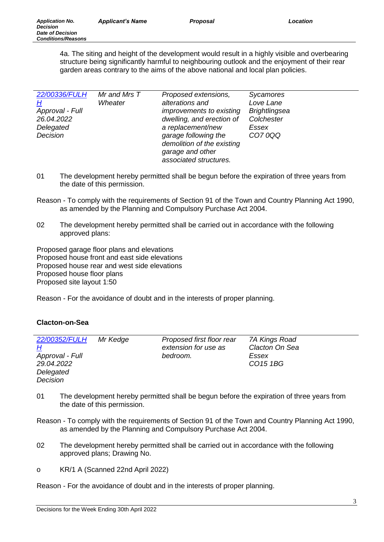4a. The siting and height of the development would result in a highly visible and overbearing structure being significantly harmful to neighbouring outlook and the enjoyment of their rear garden areas contrary to the aims of the above national and local plan policies.

| 22/00336/FULH                                                      | Mr and Mrs T | Proposed extensions,                                                                                                                                                           | Sycamores                                                          |
|--------------------------------------------------------------------|--------------|--------------------------------------------------------------------------------------------------------------------------------------------------------------------------------|--------------------------------------------------------------------|
| <u>Н</u><br>Approval - Full<br>26.04.2022<br>Delegated<br>Decision | Wheater      | alterations and<br><i>improvements to existing</i><br>dwelling, and erection of<br>a replacement/new<br>garage following the<br>demolition of the existing<br>garage and other | Love Lane<br><b>Brightlingsea</b><br>Colchester<br>Essex<br>CO70QQ |
|                                                                    |              | associated structures.                                                                                                                                                         |                                                                    |

- 01 The development hereby permitted shall be begun before the expiration of three years from the date of this permission.
- Reason To comply with the requirements of Section 91 of the Town and Country Planning Act 1990, as amended by the Planning and Compulsory Purchase Act 2004.
- 02 The development hereby permitted shall be carried out in accordance with the following approved plans:

Proposed garage floor plans and elevations Proposed house front and east side elevations Proposed house rear and west side elevations Proposed house floor plans Proposed site layout 1:50

Reason - For the avoidance of doubt and in the interests of proper planning.

#### **Clacton-on-Sea**

| 22/00352/FULH   | Mr Kedge | Proposed first floor rear | 7A Kings Road        |
|-----------------|----------|---------------------------|----------------------|
| H               |          | extension for use as      | Clacton On Sea       |
| Approval - Full |          | bedroom.                  | Essex                |
| 29.04.2022      |          |                           | CO <sub>15</sub> 1BG |
| Delegated       |          |                           |                      |
| Decision        |          |                           |                      |

- 01 The development hereby permitted shall be begun before the expiration of three years from the date of this permission.
- Reason To comply with the requirements of Section 91 of the Town and Country Planning Act 1990, as amended by the Planning and Compulsory Purchase Act 2004.
- 02 The development hereby permitted shall be carried out in accordance with the following approved plans; Drawing No.
- o KR/1 A (Scanned 22nd April 2022)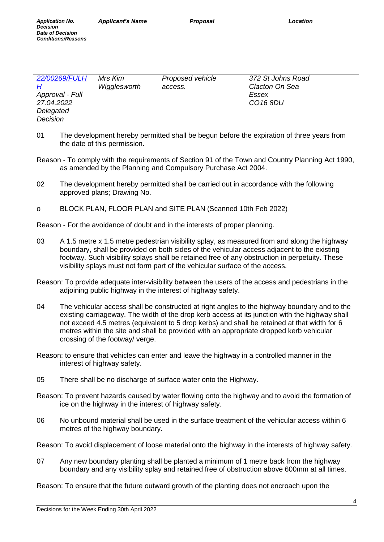*Conditions/Reasons*

| 22/00269/FULH<br>372 St Johns Road<br>Mrs Kim<br>Proposed vehicle<br>Clacton On Sea<br>H<br>Wigglesworth<br>access.<br>Approval - Full<br>Essex<br>27.04.2022<br>CO <sub>16</sub> 8DU<br>Delegated<br><b>Decision</b> |  |
|-----------------------------------------------------------------------------------------------------------------------------------------------------------------------------------------------------------------------|--|
|-----------------------------------------------------------------------------------------------------------------------------------------------------------------------------------------------------------------------|--|

- 01 The development hereby permitted shall be begun before the expiration of three years from the date of this permission.
- Reason To comply with the requirements of Section 91 of the Town and Country Planning Act 1990, as amended by the Planning and Compulsory Purchase Act 2004.
- 02 The development hereby permitted shall be carried out in accordance with the following approved plans; Drawing No.
- o BLOCK PLAN, FLOOR PLAN and SITE PLAN (Scanned 10th Feb 2022)

Reason - For the avoidance of doubt and in the interests of proper planning.

- 03 A 1.5 metre x 1.5 metre pedestrian visibility splay, as measured from and along the highway boundary, shall be provided on both sides of the vehicular access adjacent to the existing footway. Such visibility splays shall be retained free of any obstruction in perpetuity. These visibility splays must not form part of the vehicular surface of the access.
- Reason: To provide adequate inter-visibility between the users of the access and pedestrians in the adjoining public highway in the interest of highway safety.
- 04 The vehicular access shall be constructed at right angles to the highway boundary and to the existing carriageway. The width of the drop kerb access at its junction with the highway shall not exceed 4.5 metres (equivalent to 5 drop kerbs) and shall be retained at that width for 6 metres within the site and shall be provided with an appropriate dropped kerb vehicular crossing of the footway/ verge.
- Reason: to ensure that vehicles can enter and leave the highway in a controlled manner in the interest of highway safety.
- 05 There shall be no discharge of surface water onto the Highway.
- Reason: To prevent hazards caused by water flowing onto the highway and to avoid the formation of ice on the highway in the interest of highway safety.
- 06 No unbound material shall be used in the surface treatment of the vehicular access within 6 metres of the highway boundary.

Reason: To avoid displacement of loose material onto the highway in the interests of highway safety.

07 Any new boundary planting shall be planted a minimum of 1 metre back from the highway boundary and any visibility splay and retained free of obstruction above 600mm at all times.

Reason: To ensure that the future outward growth of the planting does not encroach upon the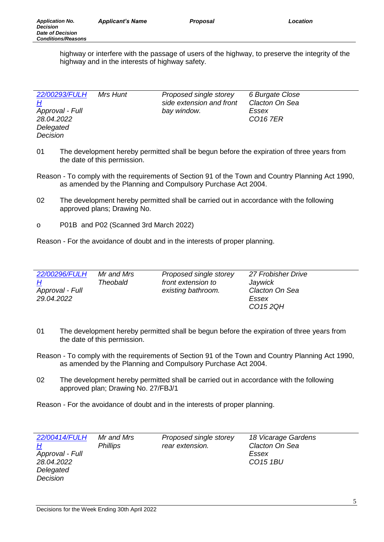highway or interfere with the passage of users of the highway, to preserve the integrity of the highway and in the interests of highway safety.

| 22/00293/FULH   | Mrs Hunt | Proposed single storey   | 6 Burgate Close |
|-----------------|----------|--------------------------|-----------------|
| <u>Н</u>        |          | side extension and front | Clacton On Sea  |
| Approval - Full |          | bay window.              | Essex           |
| 28.04.2022      |          |                          | <b>CO16 7ER</b> |
| Delegated       |          |                          |                 |
| Decision        |          |                          |                 |

- 01 The development hereby permitted shall be begun before the expiration of three years from the date of this permission.
- Reason To comply with the requirements of Section 91 of the Town and Country Planning Act 1990, as amended by the Planning and Compulsory Purchase Act 2004.
- 02 The development hereby permitted shall be carried out in accordance with the following approved plans; Drawing No.
- o P01B and P02 (Scanned 3rd March 2022)

Reason - For the avoidance of doubt and in the interests of proper planning.

| 22/00296/FULH<br><u>Н</u><br>Approval - Full<br>29.04.2022 | Mr and Mrs<br>Theobald | Proposed single storey<br>front extension to<br>existing bathroom. | 27 Frobisher Drive<br>Jaywick<br>Clacton On Sea<br>Essex |
|------------------------------------------------------------|------------------------|--------------------------------------------------------------------|----------------------------------------------------------|
|                                                            |                        |                                                                    | CO152QH                                                  |

- 01 The development hereby permitted shall be begun before the expiration of three years from the date of this permission.
- Reason To comply with the requirements of Section 91 of the Town and Country Planning Act 1990, as amended by the Planning and Compulsory Purchase Act 2004.
- 02 The development hereby permitted shall be carried out in accordance with the following approved plan; Drawing No. 27/FBJ/1

| 22/00414/FULH   | Mr and Mrs      | Proposed single storey | 18 Vicarage Gardens  |
|-----------------|-----------------|------------------------|----------------------|
| H               | <i>Phillips</i> | rear extension.        | Clacton On Sea       |
| Approval - Full |                 |                        | Essex                |
| 28.04.2022      |                 |                        | CO <sub>15</sub> 1BU |
| Delegated       |                 |                        |                      |
| Decision        |                 |                        |                      |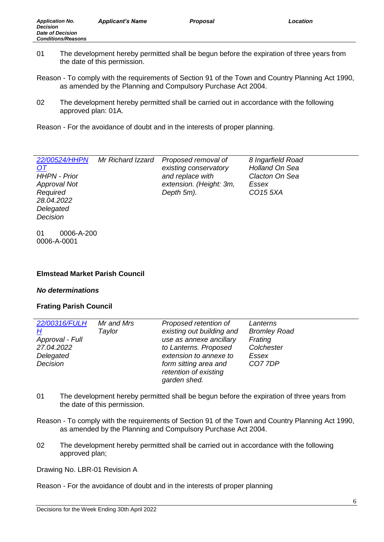- 01 The development hereby permitted shall be begun before the expiration of three years from the date of this permission.
- Reason To comply with the requirements of Section 91 of the Town and Country Planning Act 1990, as amended by the Planning and Compulsory Purchase Act 2004.
- 02 The development hereby permitted shall be carried out in accordance with the following approved plan: 01A.

| 22/00524/HHPN       | Mr Richard Izzard | Proposed removal of     | 8 Ingarfield Road    |
|---------------------|-------------------|-------------------------|----------------------|
| <u>OT</u>           |                   | existing conservatory   | Holland On Sea       |
| <b>HHPN - Prior</b> |                   | and replace with        | Clacton On Sea       |
| <b>Approval Not</b> |                   | extension. (Height: 3m, | Essex                |
| Required            |                   | Depth 5m).              | CO <sub>15</sub> 5XA |
| 28.04.2022          |                   |                         |                      |
| Delegated           |                   |                         |                      |

01 0006-A-200 0006-A-0001

*Decision*

### **Elmstead Market Parish Council**

#### *No determinations*

#### **Frating Parish Council**

| 22/00316/FULH   | Mr and Mrs | Proposed retention of     | Lanterns            |
|-----------------|------------|---------------------------|---------------------|
| H               | Taylor     | existing out building and | <b>Bromley Road</b> |
| Approval - Full |            | use as annexe ancillary   | Frating             |
| 27.04.2022      |            | to Lanterns. Proposed     | Colchester          |
| Delegated       |            | extension to annexe to    | Essex               |
| Decision        |            | form sitting area and     | CO7 7DP             |
|                 |            | retention of existing     |                     |
|                 |            | garden shed.              |                     |

- 01 The development hereby permitted shall be begun before the expiration of three years from the date of this permission.
- Reason To comply with the requirements of Section 91 of the Town and Country Planning Act 1990, as amended by the Planning and Compulsory Purchase Act 2004.
- 02 The development hereby permitted shall be carried out in accordance with the following approved plan;

Drawing No. LBR-01 Revision A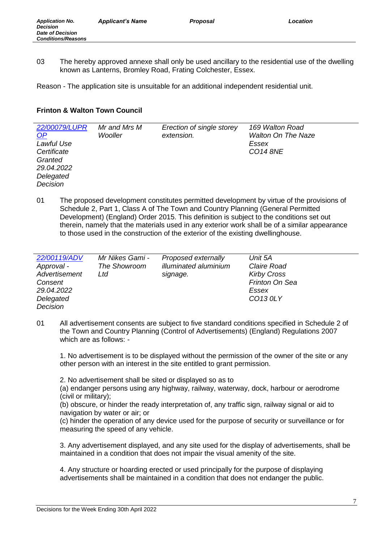03 The hereby approved annexe shall only be used ancillary to the residential use of the dwelling known as Lanterns, Bromley Road, Frating Colchester, Essex.

Reason - The application site is unsuitable for an additional independent residential unit.

#### **Frinton & Walton Town Council**

| Granted<br>29.04.2022<br>Delegated<br>Decision | 22/00079/LUPR<br>$\Omega$<br>Lawful Use<br>Certificate | Mr and Mrs M<br>Wooller | Erection of single storey<br>extension. | 169 Walton Road<br><b>Walton On The Naze</b><br>Essex<br><b>CO14 8NE</b> |
|------------------------------------------------|--------------------------------------------------------|-------------------------|-----------------------------------------|--------------------------------------------------------------------------|
|------------------------------------------------|--------------------------------------------------------|-------------------------|-----------------------------------------|--------------------------------------------------------------------------|

01 The proposed development constitutes permitted development by virtue of the provisions of Schedule 2, Part 1, Class A of The Town and Country Planning (General Permitted Development) (England) Order 2015. This definition is subject to the conditions set out therein, namely that the materials used in any exterior work shall be of a similar appearance to those used in the construction of the exterior of the existing dwellinghouse.

| 22/00119/ADV  | Mr Nikes Gami - | Proposed externally   | Unit 5A            |
|---------------|-----------------|-----------------------|--------------------|
| Approval -    | The Showroom    | illuminated aluminium | Claire Road        |
| Advertisement | Ltd             | signage.              | <b>Kirby Cross</b> |
| Consent       |                 |                       | Frinton On Sea     |
| 29.04.2022    |                 |                       | Essex              |
| Delegated     |                 |                       | CO13 0LY           |
| Decision      |                 |                       |                    |

01 All advertisement consents are subject to five standard conditions specified in Schedule 2 of the Town and Country Planning (Control of Advertisements) (England) Regulations 2007 which are as follows: -

1. No advertisement is to be displayed without the permission of the owner of the site or any other person with an interest in the site entitled to grant permission.

2. No advertisement shall be sited or displayed so as to

(a) endanger persons using any highway, railway, waterway, dock, harbour or aerodrome (civil or military);

(b) obscure, or hinder the ready interpretation of, any traffic sign, railway signal or aid to navigation by water or air; or

(c) hinder the operation of any device used for the purpose of security or surveillance or for measuring the speed of any vehicle.

3. Any advertisement displayed, and any site used for the display of advertisements, shall be maintained in a condition that does not impair the visual amenity of the site.

4. Any structure or hoarding erected or used principally for the purpose of displaying advertisements shall be maintained in a condition that does not endanger the public.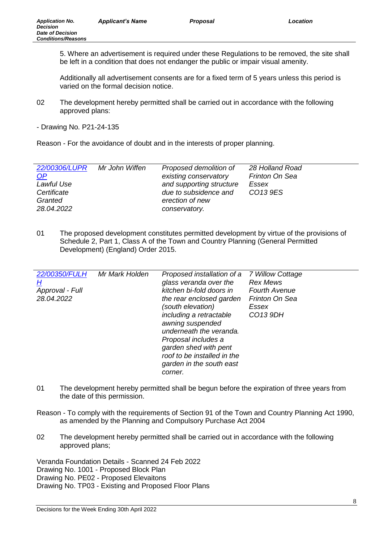5. Where an advertisement is required under these Regulations to be removed, the site shall be left in a condition that does not endanger the public or impair visual amenity.

Additionally all advertisement consents are for a fixed term of 5 years unless this period is varied on the formal decision notice.

- 02 The development hereby permitted shall be carried out in accordance with the following approved plans:
- Drawing No. P21-24-135

Reason - For the avoidance of doubt and in the interests of proper planning.

| 22/00306/LUPR<br>Mr John Wiffen<br>OP<br>Lawful Use<br>Certificate<br>Granted<br>28.04.2022 | Proposed demolition of<br>existing conservatory<br>and supporting structure<br>due to subsidence and<br>erection of new<br>conservatory. | 28 Holland Road<br>Frinton On Sea<br>Essex<br>CO13 9ES |
|---------------------------------------------------------------------------------------------|------------------------------------------------------------------------------------------------------------------------------------------|--------------------------------------------------------|
|---------------------------------------------------------------------------------------------|------------------------------------------------------------------------------------------------------------------------------------------|--------------------------------------------------------|

01 The proposed development constitutes permitted development by virtue of the provisions of Schedule 2, Part 1, Class A of the Town and Country Planning (General Permitted Development) (England) Order 2015.

| 22/00350/FULH<br><u>Н</u> | Mr Mark Holden | Proposed installation of a<br>glass veranda over the | 7 Willow Cottage<br><b>Rex Mews</b> |
|---------------------------|----------------|------------------------------------------------------|-------------------------------------|
| Approval - Full           |                | kitchen bi-fold doors in                             | <b>Fourth Avenue</b>                |
| 28.04.2022                |                | the rear enclosed garden                             | Frinton On Sea                      |
|                           |                | (south elevation)                                    | Essex                               |
|                           |                | including a retractable                              | CO13 9DH                            |
|                           |                | awning suspended                                     |                                     |
|                           |                | underneath the veranda.                              |                                     |
|                           |                | Proposal includes a                                  |                                     |
|                           |                | garden shed with pent                                |                                     |
|                           |                | roof to be installed in the                          |                                     |
|                           |                | garden in the south east                             |                                     |
|                           |                | corner.                                              |                                     |

- 01 The development hereby permitted shall be begun before the expiration of three years from the date of this permission.
- Reason To comply with the requirements of Section 91 of the Town and Country Planning Act 1990, as amended by the Planning and Compulsory Purchase Act 2004
- 02 The development hereby permitted shall be carried out in accordance with the following approved plans;

Veranda Foundation Details - Scanned 24 Feb 2022 Drawing No. 1001 - Proposed Block Plan Drawing No. PE02 - Proposed Elevaitons Drawing No. TP03 - Existing and Proposed Floor Plans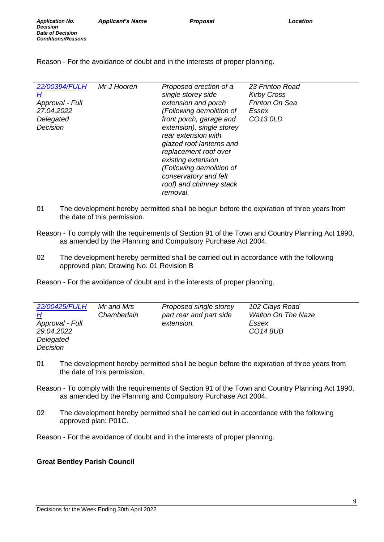| 22/00394/FULH<br>H<br>Approval - Full<br>27.04.2022<br>Delegated<br>Decision | Mr J Hooren | Proposed erection of a<br>single storey side<br>extension and porch<br>(Following demolition of<br>front porch, garage and<br>extension), single storey<br>rear extension with<br>glazed roof lanterns and<br>replacement roof over<br>existing extension<br>(Following demolition of<br>conservatory and felt<br>roof) and chimney stack<br>removal. | 23 Frinton Road<br><b>Kirby Cross</b><br>Frinton On Sea<br>Essex<br>CO13 0LD |
|------------------------------------------------------------------------------|-------------|-------------------------------------------------------------------------------------------------------------------------------------------------------------------------------------------------------------------------------------------------------------------------------------------------------------------------------------------------------|------------------------------------------------------------------------------|
|------------------------------------------------------------------------------|-------------|-------------------------------------------------------------------------------------------------------------------------------------------------------------------------------------------------------------------------------------------------------------------------------------------------------------------------------------------------------|------------------------------------------------------------------------------|

- 01 The development hereby permitted shall be begun before the expiration of three years from the date of this permission.
- Reason To comply with the requirements of Section 91 of the Town and Country Planning Act 1990, as amended by the Planning and Compulsory Purchase Act 2004.
- 02 The development hereby permitted shall be carried out in accordance with the following approved plan; Drawing No. 01 Revision B

Reason - For the avoidance of doubt and in the interests of proper planning.

| 22/00425/FULH   | Mr and Mrs  | Proposed single storey  | 102 Clays Road            |
|-----------------|-------------|-------------------------|---------------------------|
| <u>Н</u>        | Chamberlain | part rear and part side | <b>Walton On The Naze</b> |
| Approval - Full |             | extension.              | Essex                     |
| 29.04.2022      |             |                         | <b>CO14 8UB</b>           |
| Delegated       |             |                         |                           |
| Decision        |             |                         |                           |

- 01 The development hereby permitted shall be begun before the expiration of three years from the date of this permission.
- Reason To comply with the requirements of Section 91 of the Town and Country Planning Act 1990, as amended by the Planning and Compulsory Purchase Act 2004.
- 02 The development hereby permitted shall be carried out in accordance with the following approved plan: P01C.

Reason - For the avoidance of doubt and in the interests of proper planning.

## **Great Bentley Parish Council**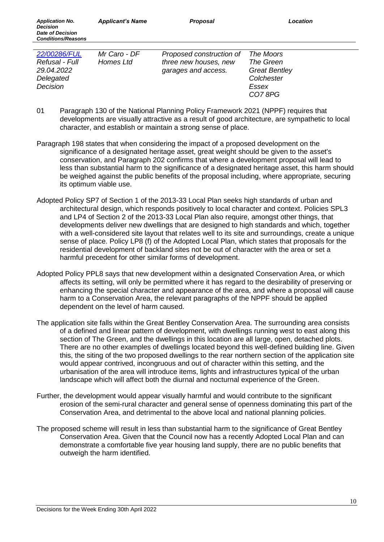*Conditions/Reasons*

| 22/00286/FUL   | Mr Caro - DF | Proposed construction of | The Moors            |
|----------------|--------------|--------------------------|----------------------|
| Refusal - Full | Homes Ltd    | three new houses, new    | The Green            |
| 29.04.2022     |              | garages and access.      | <b>Great Bentley</b> |
| Delegated      |              |                          | Colchester           |
| Decision       |              |                          | Essex                |
|                |              |                          | CO78PG               |

- 01 Paragraph 130 of the National Planning Policy Framework 2021 (NPPF) requires that developments are visually attractive as a result of good architecture, are sympathetic to local character, and establish or maintain a strong sense of place.
- Paragraph 198 states that when considering the impact of a proposed development on the significance of a designated heritage asset, great weight should be given to the asset's conservation, and Paragraph 202 confirms that where a development proposal will lead to less than substantial harm to the significance of a designated heritage asset, this harm should be weighed against the public benefits of the proposal including, where appropriate, securing its optimum viable use.
- Adopted Policy SP7 of Section 1 of the 2013-33 Local Plan seeks high standards of urban and architectural design, which responds positively to local character and context. Policies SPL3 and LP4 of Section 2 of the 2013-33 Local Plan also require, amongst other things, that developments deliver new dwellings that are designed to high standards and which, together with a well-considered site layout that relates well to its site and surroundings, create a unique sense of place. Policy LP8 (f) of the Adopted Local Plan, which states that proposals for the residential development of backland sites not be out of character with the area or set a harmful precedent for other similar forms of development.
- Adopted Policy PPL8 says that new development within a designated Conservation Area, or which affects its setting, will only be permitted where it has regard to the desirability of preserving or enhancing the special character and appearance of the area, and where a proposal will cause harm to a Conservation Area, the relevant paragraphs of the NPPF should be applied dependent on the level of harm caused.
- The application site falls within the Great Bentley Conservation Area. The surrounding area consists of a defined and linear pattern of development, with dwellings running west to east along this section of The Green, and the dwellings in this location are all large, open, detached plots. There are no other examples of dwellings located beyond this well-defined building line. Given this, the siting of the two proposed dwellings to the rear northern section of the application site would appear contrived, incongruous and out of character within this setting, and the urbanisation of the area will introduce items, lights and infrastructures typical of the urban landscape which will affect both the diurnal and nocturnal experience of the Green.
- Further, the development would appear visually harmful and would contribute to the significant erosion of the semi-rural character and general sense of openness dominating this part of the Conservation Area, and detrimental to the above local and national planning policies.
- The proposed scheme will result in less than substantial harm to the significance of Great Bentley Conservation Area. Given that the Council now has a recently Adopted Local Plan and can demonstrate a comfortable five year housing land supply, there are no public benefits that outweigh the harm identified.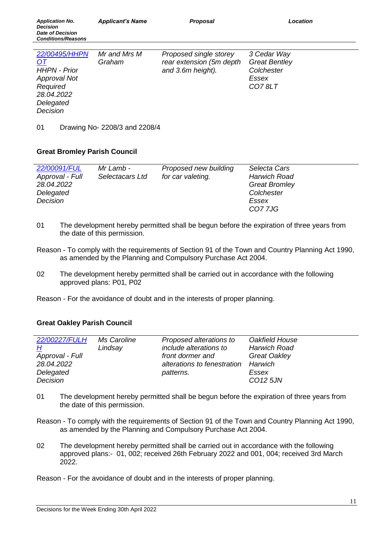| 22/00495/HHPN<br>Mr and Mrs M<br>Proposed single storey<br>3 Cedar Way<br>rear extension (5m depth<br><b>Great Bentley</b><br>Graham<br>OT<br><b>HHPN - Prior</b><br>and 3.6m height).<br>Colchester<br><b>Approval Not</b><br>Essex<br>Required<br>CO78LT<br>28.04.2022<br>Delegated<br>Decision |  |
|---------------------------------------------------------------------------------------------------------------------------------------------------------------------------------------------------------------------------------------------------------------------------------------------------|--|

01 Drawing No- 2208/3 and 2208/4

#### **Great Bromley Parish Council**

| 22/00091/FUL    | Mr Lamb -       | Proposed new building | Selecta Cars         |
|-----------------|-----------------|-----------------------|----------------------|
| Approval - Full | Selectacars Ltd | for car valeting.     | <b>Harwich Road</b>  |
| 28.04.2022      |                 |                       | <b>Great Bromley</b> |
| Delegated       |                 |                       | Colchester           |
| Decision        |                 |                       | Essex                |
|                 |                 |                       | <b>CO77JG</b>        |

- 01 The development hereby permitted shall be begun before the expiration of three years from the date of this permission.
- Reason To comply with the requirements of Section 91 of the Town and Country Planning Act 1990, as amended by the Planning and Compulsory Purchase Act 2004.
- 02 The development hereby permitted shall be carried out in accordance with the following approved plans: P01, P02
- Reason For the avoidance of doubt and in the interests of proper planning.

#### **Great Oakley Parish Council**

| 22/00227/FULH   | Ms Caroline | Proposed alterations to     | Oakfield House       |
|-----------------|-------------|-----------------------------|----------------------|
| H               | Lindsay     | include alterations to      | <b>Harwich Road</b>  |
| Approval - Full |             | front dormer and            | <b>Great Oakley</b>  |
| 28.04.2022      |             | alterations to fenestration | Harwich              |
| Delegated       |             | patterns.                   | Essex                |
| Decision        |             |                             | CO <sub>12</sub> 5JN |

- 01 The development hereby permitted shall be begun before the expiration of three years from the date of this permission.
- Reason To comply with the requirements of Section 91 of the Town and Country Planning Act 1990, as amended by the Planning and Compulsory Purchase Act 2004.
- 02 The development hereby permitted shall be carried out in accordance with the following approved plans:- 01, 002; received 26th February 2022 and 001, 004; received 3rd March 2022.
- Reason For the avoidance of doubt and in the interests of proper planning.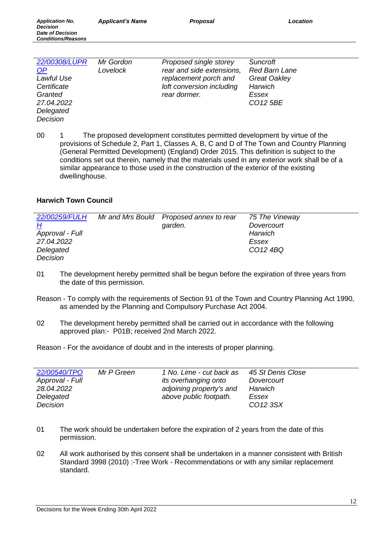| 22/00308/LUPR | Mr Gordon | Proposed single storey    | Suncroft             |
|---------------|-----------|---------------------------|----------------------|
| <u>OP</u>     | Lovelock  | rear and side extensions, | Red Barn Lane        |
| Lawful Use    |           | replacement porch and     | <b>Great Oakley</b>  |
| Certificate   |           | loft conversion including | Harwich              |
| Granted       |           | rear dormer.              | Essex                |
| 27.04.2022    |           |                           | CO <sub>12</sub> 5BE |
| Delegated     |           |                           |                      |

*Decision*

00 1 The proposed development constitutes permitted development by virtue of the provisions of Schedule 2, Part 1, Classes A, B, C and D of The Town and Country Planning (General Permitted Development) (England) Order 2015. This definition is subject to the conditions set out therein, namely that the materials used in any exterior work shall be of a similar appearance to those used in the construction of the exterior of the existing dwellinghouse.

## **Harwich Town Council**

| 22/00259/FULH   | Mr and Mrs Bould Proposed annex to rear | 75 The Vineway |
|-----------------|-----------------------------------------|----------------|
| <u>H</u>        | garden.                                 | Dovercourt     |
| Approval - Full |                                         | Harwich        |
| 27.04.2022      |                                         | Essex          |
| Delegated       |                                         | CO12 4BQ       |
| Decision        |                                         |                |

- 01 The development hereby permitted shall be begun before the expiration of three years from the date of this permission.
- Reason To comply with the requirements of Section 91 of the Town and Country Planning Act 1990, as amended by the Planning and Compulsory Purchase Act 2004.
- 02 The development hereby permitted shall be carried out in accordance with the following approved plan:- P01B; received 2nd March 2022.

| 22/00540/TPO<br>Mr P Green<br>Approval - Full<br>28.04.2022<br>Delegated<br>Decision | 1 No. Lime - cut back as<br>its overhanging onto<br>adjoining property's and<br>above public footpath. | 45 St Denis Close<br>Dovercourt<br>Harwich<br>Essex<br>CO12 3SX |
|--------------------------------------------------------------------------------------|--------------------------------------------------------------------------------------------------------|-----------------------------------------------------------------|
|--------------------------------------------------------------------------------------|--------------------------------------------------------------------------------------------------------|-----------------------------------------------------------------|

- 01 The work should be undertaken before the expiration of 2 years from the date of this permission.
- 02 All work authorised by this consent shall be undertaken in a manner consistent with British Standard 3998 (2010) :-Tree Work - Recommendations or with any similar replacement standard.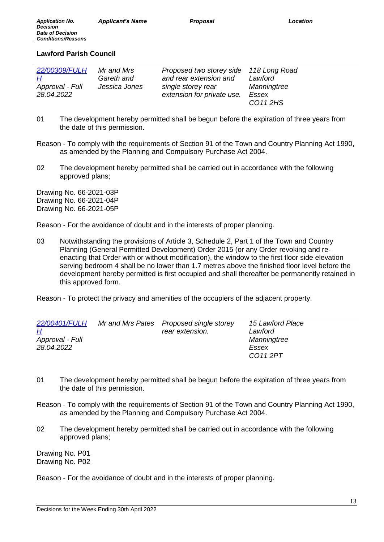*Application No.*

### **Lawford Parish Council**

| 22/00309/FULH   | Mr and Mrs    | Proposed two storey side 118 Long Road |             |
|-----------------|---------------|----------------------------------------|-------------|
| H               | Gareth and    | and rear extension and                 | Lawford     |
| Approval - Full | Jessica Jones | single storey rear                     | Manningtree |
| 28.04.2022      |               | extension for private use.             | Essex       |
|                 |               |                                        | CO11 2HS    |

- 01 The development hereby permitted shall be begun before the expiration of three years from the date of this permission.
- Reason To comply with the requirements of Section 91 of the Town and Country Planning Act 1990, as amended by the Planning and Compulsory Purchase Act 2004.
- 02 The development hereby permitted shall be carried out in accordance with the following approved plans;

Drawing No. 66-2021-03P Drawing No. 66-2021-04P Drawing No. 66-2021-05P

Reason - For the avoidance of doubt and in the interests of proper planning.

03 Notwithstanding the provisions of Article 3, Schedule 2, Part 1 of the Town and Country Planning (General Permitted Development) Order 2015 (or any Order revoking and reenacting that Order with or without modification), the window to the first floor side elevation serving bedroom 4 shall be no lower than 1.7 metres above the finished floor level before the development hereby permitted is first occupied and shall thereafter be permanently retained in this approved form.

Reason - To protect the privacy and amenities of the occupiers of the adjacent property.

| 22/00401/FULH<br><u>Н</u><br>Approval - Full | Mr and Mrs Pates Proposed single storey<br>rear extension. | 15 Lawford Place<br>Lawford<br>Manningtree |
|----------------------------------------------|------------------------------------------------------------|--------------------------------------------|
| 28.04.2022                                   |                                                            | Essex                                      |
|                                              |                                                            | CO11 2PT                                   |

- 01 The development hereby permitted shall be begun before the expiration of three years from the date of this permission.
- Reason To comply with the requirements of Section 91 of the Town and Country Planning Act 1990, as amended by the Planning and Compulsory Purchase Act 2004.
- 02 The development hereby permitted shall be carried out in accordance with the following approved plans;

Drawing No. P01 Drawing No. P02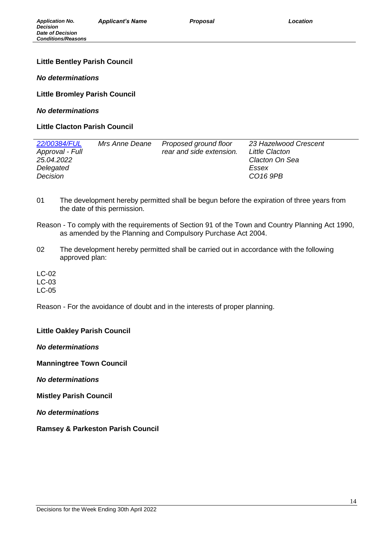### **Little Bentley Parish Council**

*No determinations*

**Little Bromley Parish Council** 

*No determinations*

**Little Clacton Parish Council** 

| 22/00384/FUL<br>Approval - Full<br>25.04.2022<br>Delegated<br>Decision | Mrs Anne Deane | Proposed ground floor<br>rear and side extension. | 23 Hazelwood Crescent<br>Little Clacton<br>Clacton On Sea<br>Essex<br>CO <sub>16</sub> 9PB |
|------------------------------------------------------------------------|----------------|---------------------------------------------------|--------------------------------------------------------------------------------------------|
|                                                                        |                |                                                   |                                                                                            |

- 01 The development hereby permitted shall be begun before the expiration of three years from the date of this permission.
- Reason To comply with the requirements of Section 91 of the Town and Country Planning Act 1990, as amended by the Planning and Compulsory Purchase Act 2004.
- 02 The development hereby permitted shall be carried out in accordance with the following approved plan:

LC-02 LC-03 LC-05

Reason - For the avoidance of doubt and in the interests of proper planning.

**Little Oakley Parish Council** 

*No determinations*

**Manningtree Town Council** 

*No determinations*

**Mistley Parish Council** 

*No determinations*

**Ramsey & Parkeston Parish Council**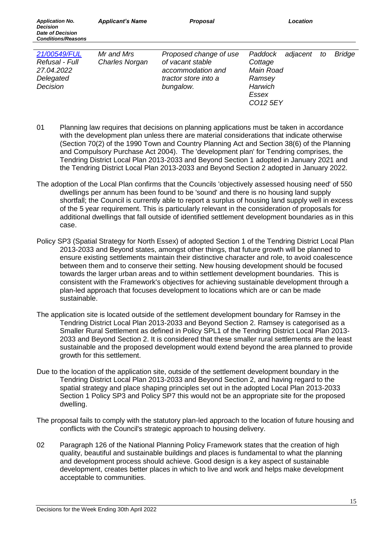| 21/00549/FUL   | Mr and Mrs            | Proposed change of use | Paddock adjacent to  |  | <b>Bridge</b> |
|----------------|-----------------------|------------------------|----------------------|--|---------------|
| Refusal - Full | <b>Charles Norgan</b> | of vacant stable       | Cottage              |  |               |
| 27.04.2022     |                       | accommodation and      | Main Road            |  |               |
| Delegated      |                       | tractor store into a   | Ramsey               |  |               |
| Decision       |                       | bungalow.              | <b>Harwich</b>       |  |               |
|                |                       |                        | Essex                |  |               |
|                |                       |                        | CO <sub>12</sub> 5EY |  |               |

- 01 Planning law requires that decisions on planning applications must be taken in accordance with the development plan unless there are material considerations that indicate otherwise (Section 70(2) of the 1990 Town and Country Planning Act and Section 38(6) of the Planning and Compulsory Purchase Act 2004). The 'development plan' for Tendring comprises, the Tendring District Local Plan 2013-2033 and Beyond Section 1 adopted in January 2021 and the Tendring District Local Plan 2013-2033 and Beyond Section 2 adopted in January 2022.
- The adoption of the Local Plan confirms that the Councils 'objectively assessed housing need' of 550 dwellings per annum has been found to be 'sound' and there is no housing land supply shortfall; the Council is currently able to report a surplus of housing land supply well in excess of the 5 year requirement. This is particularly relevant in the consideration of proposals for additional dwellings that fall outside of identified settlement development boundaries as in this case.
- Policy SP3 (Spatial Strategy for North Essex) of adopted Section 1 of the Tendring District Local Plan 2013-2033 and Beyond states, amongst other things, that future growth will be planned to ensure existing settlements maintain their distinctive character and role, to avoid coalescence between them and to conserve their setting. New housing development should be focused towards the larger urban areas and to within settlement development boundaries. This is consistent with the Framework's objectives for achieving sustainable development through a plan-led approach that focuses development to locations which are or can be made sustainable.
- The application site is located outside of the settlement development boundary for Ramsey in the Tendring District Local Plan 2013-2033 and Beyond Section 2. Ramsey is categorised as a Smaller Rural Settlement as defined in Policy SPL1 of the Tendring District Local Plan 2013- 2033 and Beyond Section 2. It is considered that these smaller rural settlements are the least sustainable and the proposed development would extend beyond the area planned to provide growth for this settlement.
- Due to the location of the application site, outside of the settlement development boundary in the Tendring District Local Plan 2013-2033 and Beyond Section 2, and having regard to the spatial strategy and place shaping principles set out in the adopted Local Plan 2013-2033 Section 1 Policy SP3 and Policy SP7 this would not be an appropriate site for the proposed dwelling.
- The proposal fails to comply with the statutory plan-led approach to the location of future housing and conflicts with the Council's strategic approach to housing delivery.
- 02 Paragraph 126 of the National Planning Policy Framework states that the creation of high quality, beautiful and sustainable buildings and places is fundamental to what the planning and development process should achieve. Good design is a key aspect of sustainable development, creates better places in which to live and work and helps make development acceptable to communities.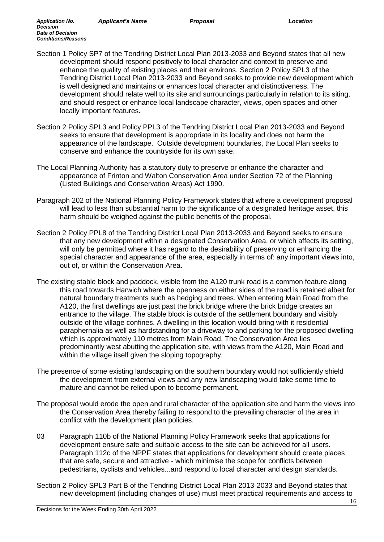- Section 1 Policy SP7 of the Tendring District Local Plan 2013-2033 and Beyond states that all new development should respond positively to local character and context to preserve and enhance the quality of existing places and their environs. Section 2 Policy SPL3 of the Tendring District Local Plan 2013-2033 and Beyond seeks to provide new development which is well designed and maintains or enhances local character and distinctiveness. The development should relate well to its site and surroundings particularly in relation to its siting, and should respect or enhance local landscape character, views, open spaces and other locally important features.
- Section 2 Policy SPL3 and Policy PPL3 of the Tendring District Local Plan 2013-2033 and Beyond seeks to ensure that development is appropriate in its locality and does not harm the appearance of the landscape. Outside development boundaries, the Local Plan seeks to conserve and enhance the countryside for its own sake.
- The Local Planning Authority has a statutory duty to preserve or enhance the character and appearance of Frinton and Walton Conservation Area under Section 72 of the Planning (Listed Buildings and Conservation Areas) Act 1990.
- Paragraph 202 of the National Planning Policy Framework states that where a development proposal will lead to less than substantial harm to the significance of a designated heritage asset, this harm should be weighed against the public benefits of the proposal.
- Section 2 Policy PPL8 of the Tendring District Local Plan 2013-2033 and Beyond seeks to ensure that any new development within a designated Conservation Area, or which affects its setting, will only be permitted where it has regard to the desirability of preserving or enhancing the special character and appearance of the area, especially in terms of: any important views into, out of, or within the Conservation Area.
- The existing stable block and paddock, visible from the A120 trunk road is a common feature along this road towards Harwich where the openness on either sides of the road is retained albeit for natural boundary treatments such as hedging and trees. When entering Main Road from the A120, the first dwellings are just past the brick bridge where the brick bridge creates an entrance to the village. The stable block is outside of the settlement boundary and visibly outside of the village confines. A dwelling in this location would bring with it residential paraphernalia as well as hardstanding for a driveway to and parking for the proposed dwelling which is approximately 110 metres from Main Road. The Conservation Area lies predominantly west abutting the application site, with views from the A120, Main Road and within the village itself given the sloping topography.
- The presence of some existing landscaping on the southern boundary would not sufficiently shield the development from external views and any new landscaping would take some time to mature and cannot be relied upon to become permanent.
- The proposal would erode the open and rural character of the application site and harm the views into the Conservation Area thereby failing to respond to the prevailing character of the area in conflict with the development plan policies.
- 03 Paragraph 110b of the National Planning Policy Framework seeks that applications for development ensure safe and suitable access to the site can be achieved for all users. Paragraph 112c of the NPPF states that applications for development should create places that are safe, secure and attractive - which minimise the scope for conflicts between pedestrians, cyclists and vehicles...and respond to local character and design standards.
- Section 2 Policy SPL3 Part B of the Tendring District Local Plan 2013-2033 and Beyond states that new development (including changes of use) must meet practical requirements and access to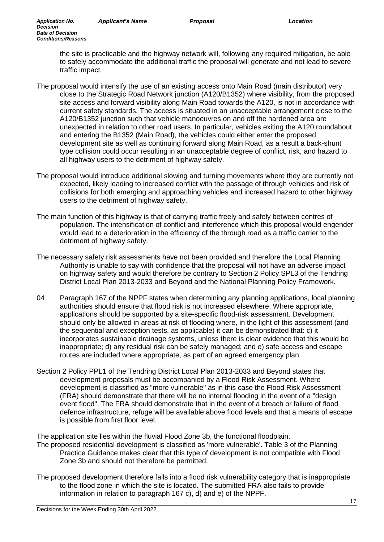the site is practicable and the highway network will, following any required mitigation, be able to safely accommodate the additional traffic the proposal will generate and not lead to severe traffic impact.

- The proposal would intensify the use of an existing access onto Main Road (main distributor) very close to the Strategic Road Network junction (A120/B1352) where visibility, from the proposed site access and forward visibility along Main Road towards the A120, is not in accordance with current safety standards. The access is situated in an unacceptable arrangement close to the A120/B1352 junction such that vehicle manoeuvres on and off the hardened area are unexpected in relation to other road users. In particular, vehicles exiting the A120 roundabout and entering the B1352 (Main Road), the vehicles could either enter the proposed development site as well as continuing forward along Main Road, as a result a back-shunt type collision could occur resulting in an unacceptable degree of conflict, risk, and hazard to all highway users to the detriment of highway safety.
- The proposal would introduce additional slowing and turning movements where they are currently not expected, likely leading to increased conflict with the passage of through vehicles and risk of collisions for both emerging and approaching vehicles and increased hazard to other highway users to the detriment of highway safety.
- The main function of this highway is that of carrying traffic freely and safely between centres of population. The intensification of conflict and interference which this proposal would engender would lead to a deterioration in the efficiency of the through road as a traffic carrier to the detriment of highway safety.
- The necessary safety risk assessments have not been provided and therefore the Local Planning Authority is unable to say with confidence that the proposal will not have an adverse impact on highway safety and would therefore be contrary to Section 2 Policy SPL3 of the Tendring District Local Plan 2013-2033 and Beyond and the National Planning Policy Framework.
- 04 Paragraph 167 of the NPPF states when determining any planning applications, local planning authorities should ensure that flood risk is not increased elsewhere. Where appropriate, applications should be supported by a site-specific flood-risk assessment. Development should only be allowed in areas at risk of flooding where, in the light of this assessment (and the sequential and exception tests, as applicable) it can be demonstrated that: c) it incorporates sustainable drainage systems, unless there is clear evidence that this would be inappropriate; d) any residual risk can be safely managed; and e) safe access and escape routes are included where appropriate, as part of an agreed emergency plan.
- Section 2 Policy PPL1 of the Tendring District Local Plan 2013-2033 and Beyond states that development proposals must be accompanied by a Flood Risk Assessment. Where development is classified as "more vulnerable" as in this case the Flood Risk Assessment (FRA) should demonstrate that there will be no internal flooding in the event of a "design event flood". The FRA should demonstrate that in the event of a breach or failure of flood defence infrastructure, refuge will be available above flood levels and that a means of escape is possible from first floor level.

The application site lies within the fluvial Flood Zone 3b, the functional floodplain.

- The proposed residential development is classified as 'more vulnerable'. Table 3 of the Planning Practice Guidance makes clear that this type of development is not compatible with Flood Zone 3b and should not therefore be permitted.
- The proposed development therefore falls into a flood risk vulnerability category that is inappropriate to the flood zone in which the site is located. The submitted FRA also fails to provide information in relation to paragraph 167 c), d) and e) of the NPPF.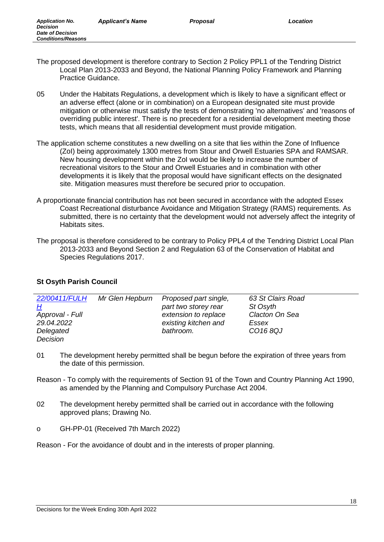- The proposed development is therefore contrary to Section 2 Policy PPL1 of the Tendring District Local Plan 2013-2033 and Beyond, the National Planning Policy Framework and Planning Practice Guidance.
- 05 Under the Habitats Regulations, a development which is likely to have a significant effect or an adverse effect (alone or in combination) on a European designated site must provide mitigation or otherwise must satisfy the tests of demonstrating 'no alternatives' and 'reasons of overriding public interest'. There is no precedent for a residential development meeting those tests, which means that all residential development must provide mitigation.
- The application scheme constitutes a new dwelling on a site that lies within the Zone of Influence (ZoI) being approximately 1300 metres from Stour and Orwell Estuaries SPA and RAMSAR. New housing development within the ZoI would be likely to increase the number of recreational visitors to the Stour and Orwell Estuaries and in combination with other developments it is likely that the proposal would have significant effects on the designated site. Mitigation measures must therefore be secured prior to occupation.
- A proportionate financial contribution has not been secured in accordance with the adopted Essex Coast Recreational disturbance Avoidance and Mitigation Strategy (RAMS) requirements. As submitted, there is no certainty that the development would not adversely affect the integrity of Habitats sites.
- The proposal is therefore considered to be contrary to Policy PPL4 of the Tendring District Local Plan 2013-2033 and Beyond Section 2 and Regulation 63 of the Conservation of Habitat and Species Regulations 2017.

# **St Osyth Parish Council**

| 22/00411/FULH   | Mr Glen Hepburn | Proposed part single, | 63 St Clairs Road |  |
|-----------------|-----------------|-----------------------|-------------------|--|
| <u>Н</u>        |                 | part two storey rear  | St Osyth          |  |
| Approval - Full |                 | extension to replace  | Clacton On Sea    |  |
| 29.04.2022      |                 | existing kitchen and  | Essex             |  |
| Delegated       |                 | bathroom.             | CO168QJ           |  |
| Decision        |                 |                       |                   |  |

- 01 The development hereby permitted shall be begun before the expiration of three years from the date of this permission.
- Reason To comply with the requirements of Section 91 of the Town and Country Planning Act 1990, as amended by the Planning and Compulsory Purchase Act 2004.
- 02 The development hereby permitted shall be carried out in accordance with the following approved plans; Drawing No.
- o GH-PP-01 (Received 7th March 2022)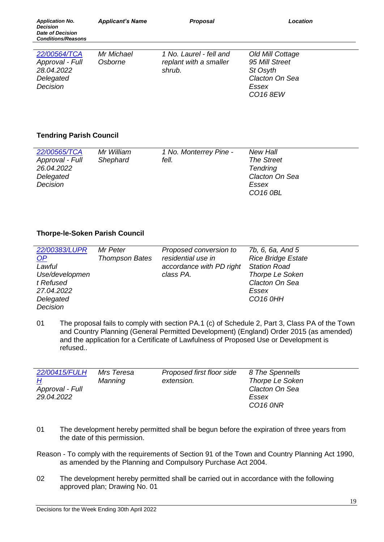# **Tendring Parish Council**

| 22/00565/TCA    | Mr William | 1 No. Monterrey Pine - | New Hall             |
|-----------------|------------|------------------------|----------------------|
| Approval - Full | Shephard   | fell.                  | <b>The Street</b>    |
| 26.04.2022      |            |                        | <b>Tendring</b>      |
| Delegated       |            |                        | Clacton On Sea       |
| Decision        |            |                        | Essex                |
|                 |            |                        | CO <sub>16</sub> 0BL |
|                 |            |                        |                      |

## **Thorpe-le-Soken Parish Council**

| 22/00383/LUPR  | Mr Peter              | Proposed conversion to   | 7b, 6, 6a, And 5          |
|----------------|-----------------------|--------------------------|---------------------------|
| $\Omega$       | <b>Thompson Bates</b> | residential use in       | <b>Rice Bridge Estate</b> |
| Lawful         |                       | accordance with PD right | <b>Station Road</b>       |
| Use/developmen |                       | class PA.                | <b>Thorpe Le Soken</b>    |
| t Refused      |                       |                          | Clacton On Sea            |
| 27.04.2022     |                       |                          | Essex                     |
| Delegated      |                       |                          | CO <sub>16</sub> OHH      |
| Decision       |                       |                          |                           |

01 The proposal fails to comply with section PA.1 (c) of Schedule 2, Part 3, Class PA of the Town and Country Planning (General Permitted Development) (England) Order 2015 (as amended) and the application for a Certificate of Lawfulness of Proposed Use or Development is refused..

| 22/00415/FULH<br><u>Н</u><br>Approval - Full<br>29.04.2022 | Mrs Teresa<br>Manning | Proposed first floor side<br>extension. | 8 The Spennells<br><b>Thorpe Le Soken</b><br>Clacton On Sea<br>Essex<br>CO <sub>16</sub> ONR |
|------------------------------------------------------------|-----------------------|-----------------------------------------|----------------------------------------------------------------------------------------------|
|                                                            |                       |                                         |                                                                                              |

- 01 The development hereby permitted shall be begun before the expiration of three years from the date of this permission.
- Reason To comply with the requirements of Section 91 of the Town and Country Planning Act 1990, as amended by the Planning and Compulsory Purchase Act 2004.
- 02 The development hereby permitted shall be carried out in accordance with the following approved plan; Drawing No. 01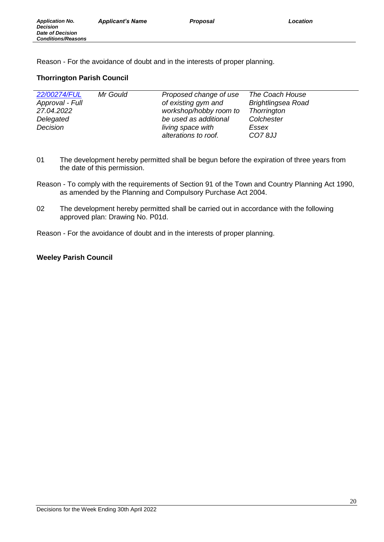# **Thorrington Parish Council**

| 22/00274/FUL    | Mr Gould | Proposed change of use | The Coach House           |
|-----------------|----------|------------------------|---------------------------|
| Approval - Full |          | of existing gym and    | <b>Brightlingsea Road</b> |
| 27.04.2022      |          | workshop/hobby room to | <b>Thorrington</b>        |
| Delegated       |          | be used as additional  | Colchester                |
| Decision        |          | living space with      | Essex                     |
|                 |          | alterations to roof.   | <b>CO78JJ</b>             |

- 01 The development hereby permitted shall be begun before the expiration of three years from the date of this permission.
- Reason To comply with the requirements of Section 91 of the Town and Country Planning Act 1990, as amended by the Planning and Compulsory Purchase Act 2004.
- 02 The development hereby permitted shall be carried out in accordance with the following approved plan: Drawing No. P01d.
- Reason For the avoidance of doubt and in the interests of proper planning.

## **Weeley Parish Council**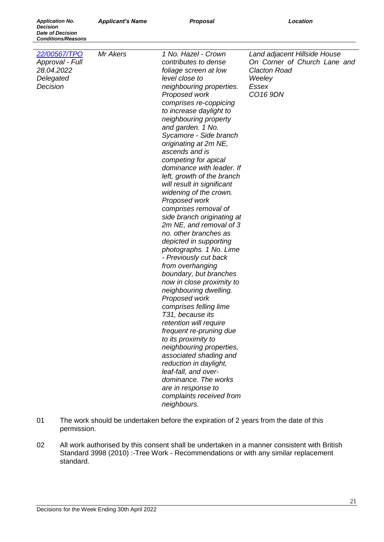*Application No. Decision Date of Decision Conditions/Reasons*

| 22/00567/TPO<br>Approval - Full<br>28.04.2022<br>Delegated<br>Decision | Mr Akers | 1 No. Hazel - Crown<br>contributes to dense<br>foliage screen at low<br>level close to<br>neighbouring properties.<br>Proposed work<br>comprises re-coppicing<br>to increase daylight to<br>neighbouring property<br>and garden. 1 No.<br>Sycamore - Side branch<br>originating at 2m NE,<br>ascends and is<br>competing for apical<br>dominance with leader. If<br>left, growth of the branch<br>will result in significant<br>widening of the crown.<br>Proposed work<br>comprises removal of<br>side branch originating at<br>2m NE, and removal of 3<br>no. other branches as<br>depicted in supporting<br>photographs. 1 No. Lime<br>- Previously cut back<br>from overhanging<br>boundary, but branches<br>now in close proximity to<br>neighbouring dwelling.<br>Proposed work<br>comprises felling lime<br>T31, because its<br>retention will require<br>frequent re-pruning due<br>to its proximity to<br>neighbouring properties,<br>associated shading and<br>reduction in daylight,<br>leaf-fall, and over-<br>dominance. The works<br>are in response to<br>complaints received from<br>neighbours. | Land adjacent Hillside House<br>On Corner of Church Lane and<br><b>Clacton Road</b><br>Weeley<br>Essex<br>CO16 9DN |
|------------------------------------------------------------------------|----------|------------------------------------------------------------------------------------------------------------------------------------------------------------------------------------------------------------------------------------------------------------------------------------------------------------------------------------------------------------------------------------------------------------------------------------------------------------------------------------------------------------------------------------------------------------------------------------------------------------------------------------------------------------------------------------------------------------------------------------------------------------------------------------------------------------------------------------------------------------------------------------------------------------------------------------------------------------------------------------------------------------------------------------------------------------------------------------------------------------------|--------------------------------------------------------------------------------------------------------------------|

- 01 The work should be undertaken before the expiration of 2 years from the date of this permission.
- 02 All work authorised by this consent shall be undertaken in a manner consistent with British Standard 3998 (2010) :- Tree Work - Recommendations or with any similar replacement standard.